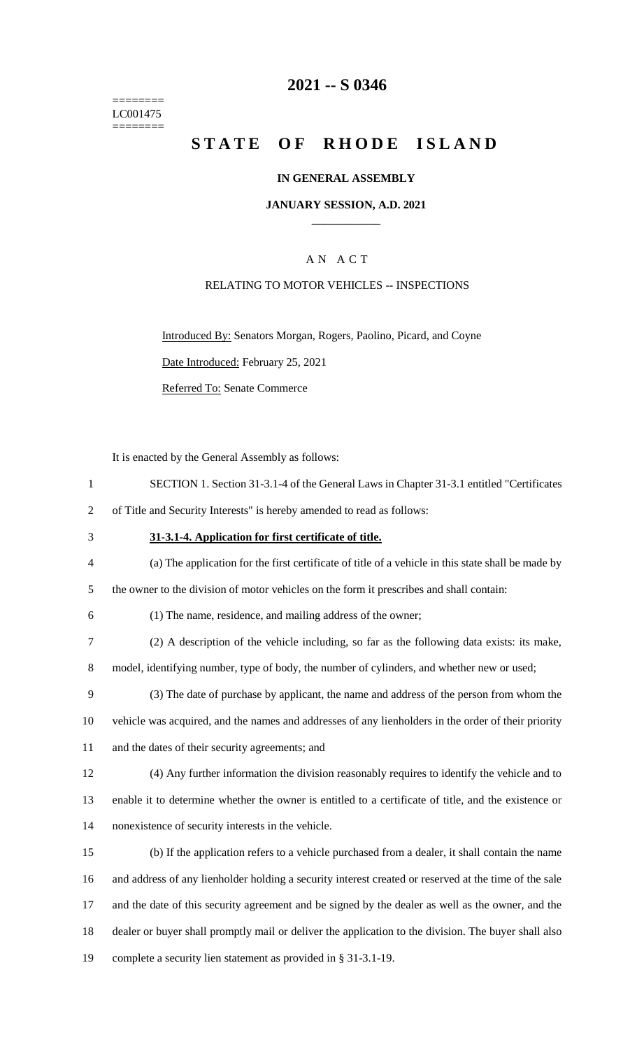======== LC001475 ========

### **-- S 0346**

# **STATE OF RHODE ISLAND**

#### **IN GENERAL ASSEMBLY**

#### **JANUARY SESSION, A.D. 2021 \_\_\_\_\_\_\_\_\_\_\_\_**

### A N A C T

#### RELATING TO MOTOR VEHICLES -- INSPECTIONS

Introduced By: Senators Morgan, Rogers, Paolino, Picard, and Coyne

Date Introduced: February 25, 2021

Referred To: Senate Commerce

It is enacted by the General Assembly as follows:

| SECTION 1. Section 31-3.1-4 of the General Laws in Chapter 31-3.1 entitled "Certificates" |  |  |  |  |  |
|-------------------------------------------------------------------------------------------|--|--|--|--|--|
|                                                                                           |  |  |  |  |  |

of Title and Security Interests" is hereby amended to read as follows:

- **31-3.1-4. Application for first certificate of title.**
- (a) The application for the first certificate of title of a vehicle in this state shall be made by

the owner to the division of motor vehicles on the form it prescribes and shall contain:

- (1) The name, residence, and mailing address of the owner;
- (2) A description of the vehicle including, so far as the following data exists: its make,

model, identifying number, type of body, the number of cylinders, and whether new or used;

- (3) The date of purchase by applicant, the name and address of the person from whom the
- vehicle was acquired, and the names and addresses of any lienholders in the order of their priority and the dates of their security agreements; and

 (4) Any further information the division reasonably requires to identify the vehicle and to enable it to determine whether the owner is entitled to a certificate of title, and the existence or nonexistence of security interests in the vehicle.

 (b) If the application refers to a vehicle purchased from a dealer, it shall contain the name and address of any lienholder holding a security interest created or reserved at the time of the sale and the date of this security agreement and be signed by the dealer as well as the owner, and the dealer or buyer shall promptly mail or deliver the application to the division. The buyer shall also complete a security lien statement as provided in § 31-3.1-19.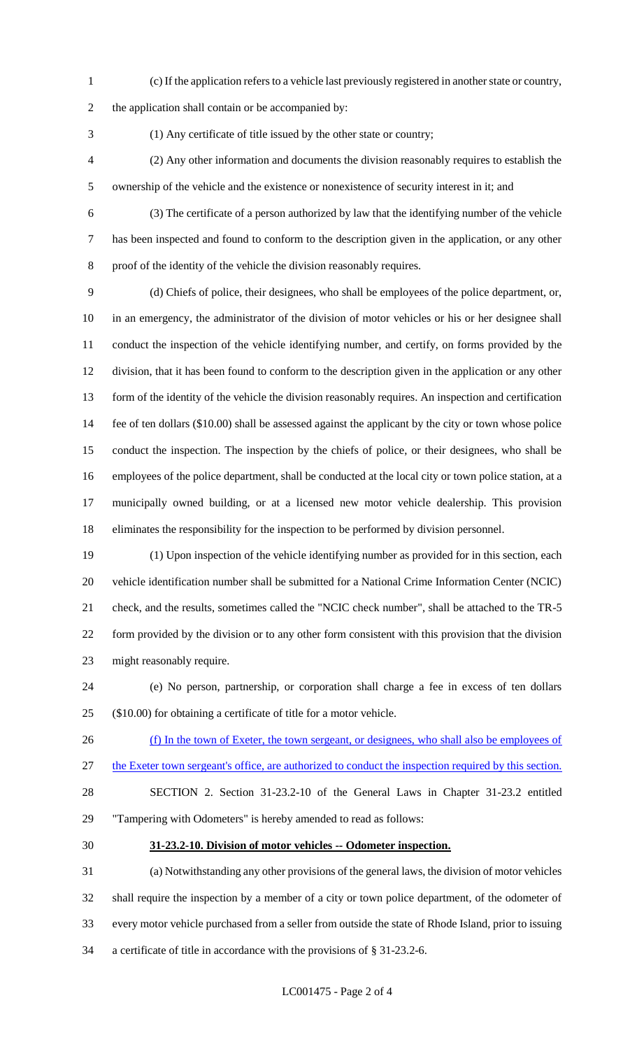(c) If the application refers to a vehicle last previously registered in another state or country,

the application shall contain or be accompanied by:

(1) Any certificate of title issued by the other state or country;

- (2) Any other information and documents the division reasonably requires to establish the ownership of the vehicle and the existence or nonexistence of security interest in it; and
- 

 (3) The certificate of a person authorized by law that the identifying number of the vehicle has been inspected and found to conform to the description given in the application, or any other proof of the identity of the vehicle the division reasonably requires.

 (d) Chiefs of police, their designees, who shall be employees of the police department, or, in an emergency, the administrator of the division of motor vehicles or his or her designee shall conduct the inspection of the vehicle identifying number, and certify, on forms provided by the division, that it has been found to conform to the description given in the application or any other form of the identity of the vehicle the division reasonably requires. An inspection and certification fee of ten dollars (\$10.00) shall be assessed against the applicant by the city or town whose police conduct the inspection. The inspection by the chiefs of police, or their designees, who shall be employees of the police department, shall be conducted at the local city or town police station, at a municipally owned building, or at a licensed new motor vehicle dealership. This provision eliminates the responsibility for the inspection to be performed by division personnel.

 (1) Upon inspection of the vehicle identifying number as provided for in this section, each vehicle identification number shall be submitted for a National Crime Information Center (NCIC) check, and the results, sometimes called the "NCIC check number", shall be attached to the TR-5 form provided by the division or to any other form consistent with this provision that the division might reasonably require.

 (e) No person, partnership, or corporation shall charge a fee in excess of ten dollars (\$10.00) for obtaining a certificate of title for a motor vehicle.

26 (f) In the town of Exeter, the town sergeant, or designees, who shall also be employees of the Exeter town sergeant's office, are authorized to conduct the inspection required by this section.

 SECTION 2. Section 31-23.2-10 of the General Laws in Chapter 31-23.2 entitled "Tampering with Odometers" is hereby amended to read as follows:

#### **31-23.2-10. Division of motor vehicles -- Odometer inspection.**

 (a) Notwithstanding any other provisions of the general laws, the division of motor vehicles shall require the inspection by a member of a city or town police department, of the odometer of every motor vehicle purchased from a seller from outside the state of Rhode Island, prior to issuing a certificate of title in accordance with the provisions of § 31-23.2-6.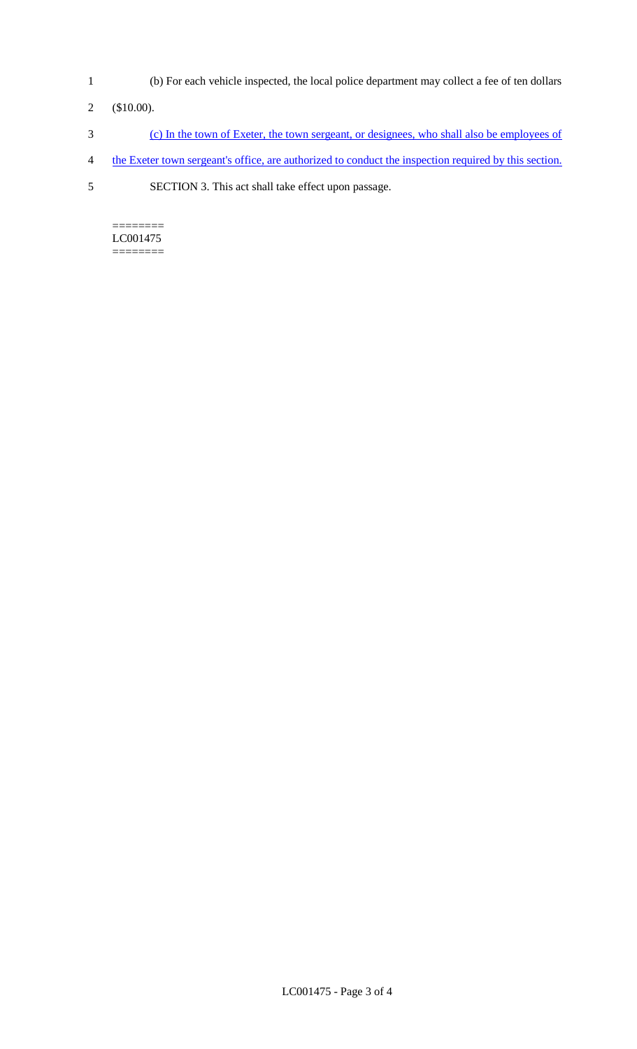- 1 (b) For each vehicle inspected, the local police department may collect a fee of ten dollars
- 2 (\$10.00).
- 3 (c) In the town of Exeter, the town sergeant, or designees, who shall also be employees of
- 4 the Exeter town sergeant's office, are authorized to conduct the inspection required by this section.
- 5 SECTION 3. This act shall take effect upon passage.

======== LC001475 ========